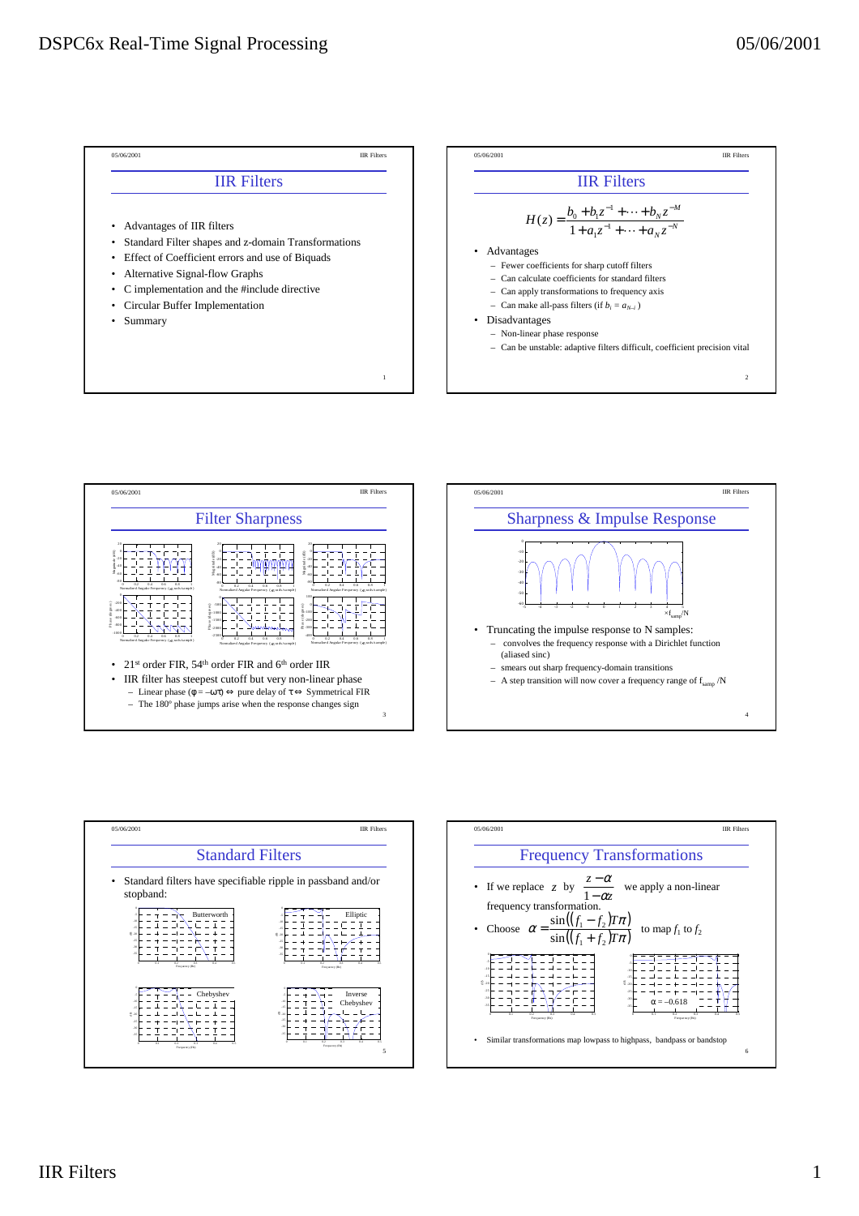







4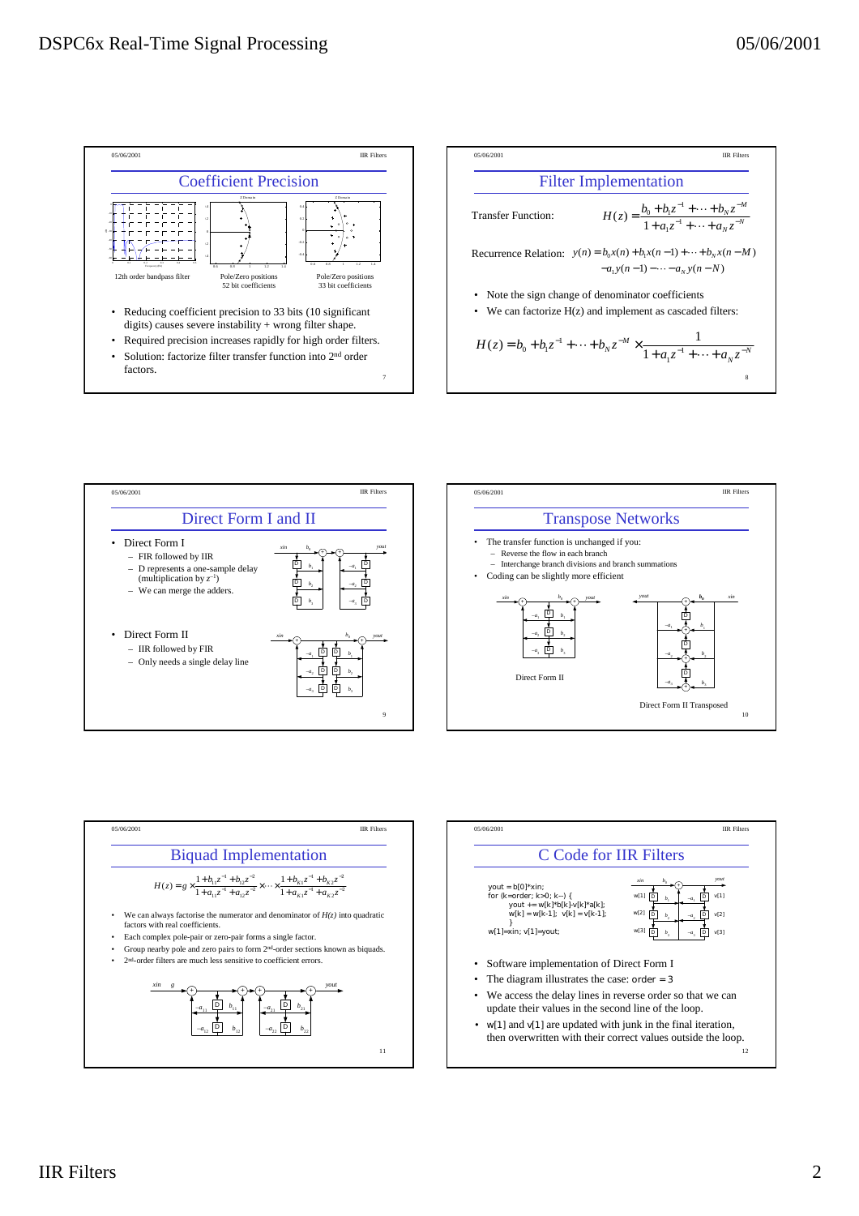